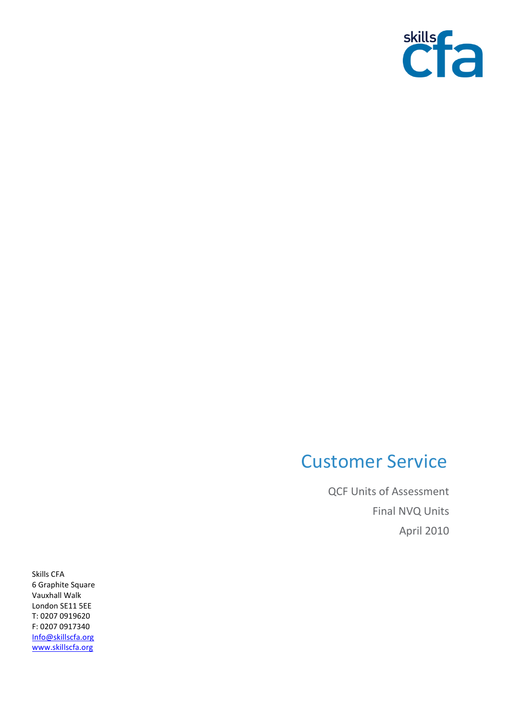

## Customer Service

QCF Units of Assessment Final NVQ Units April 2010

Skills CFA 6 Graphite Square Vauxhall Walk London SE11 5EE T: 0207 0919620 F: 0207 0917340 [Info@skillscfa.org](mailto:Info@skillscfa.org) [www.skillscfa.org](http://www.skillscfa.org/)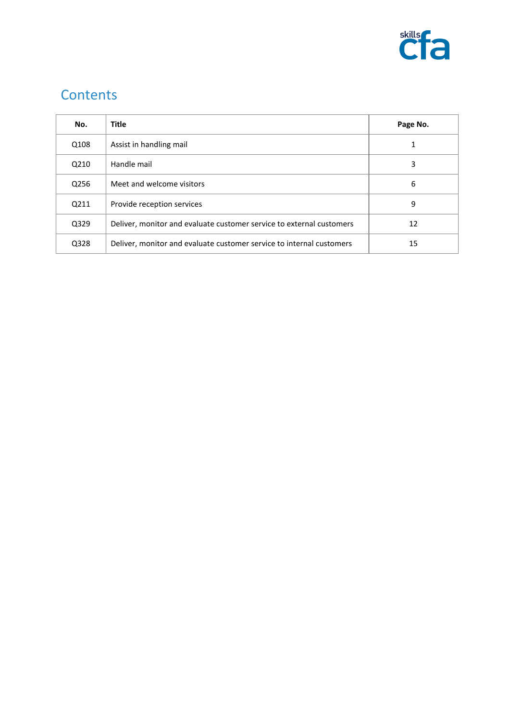

## **Contents**

| No.  | <b>Title</b>                                                         | Page No. |
|------|----------------------------------------------------------------------|----------|
| Q108 | Assist in handling mail                                              | 1        |
| Q210 | Handle mail                                                          | 3        |
| Q256 | Meet and welcome visitors                                            | 6        |
| Q211 | Provide reception services                                           | 9        |
| Q329 | Deliver, monitor and evaluate customer service to external customers | 12       |
| Q328 | Deliver, monitor and evaluate customer service to internal customers | 15       |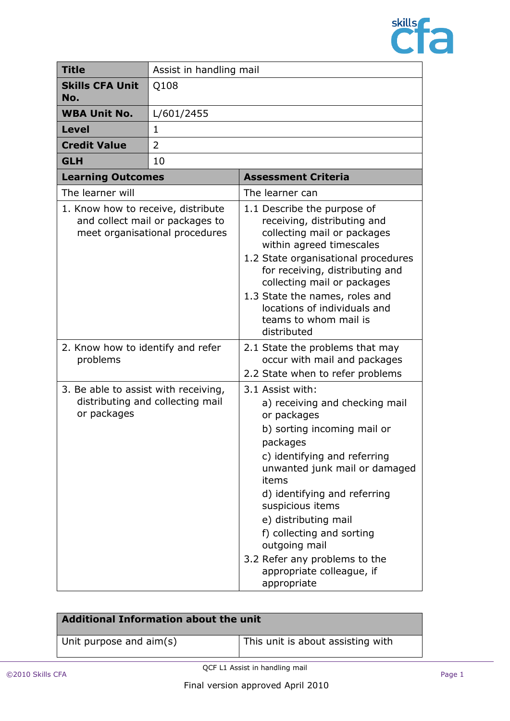

| <b>Title</b>                                                                                            | Assist in handling mail |                                                                                                                                                                                                                                                                                                                                                                                               |  |
|---------------------------------------------------------------------------------------------------------|-------------------------|-----------------------------------------------------------------------------------------------------------------------------------------------------------------------------------------------------------------------------------------------------------------------------------------------------------------------------------------------------------------------------------------------|--|
| <b>Skills CFA Unit</b><br>No.                                                                           | Q108                    |                                                                                                                                                                                                                                                                                                                                                                                               |  |
| <b>WBA Unit No.</b>                                                                                     | L/601/2455              |                                                                                                                                                                                                                                                                                                                                                                                               |  |
| <b>Level</b>                                                                                            | 1                       |                                                                                                                                                                                                                                                                                                                                                                                               |  |
| <b>Credit Value</b>                                                                                     | 2                       |                                                                                                                                                                                                                                                                                                                                                                                               |  |
| <b>GLH</b>                                                                                              | 10                      |                                                                                                                                                                                                                                                                                                                                                                                               |  |
| <b>Learning Outcomes</b>                                                                                |                         | <b>Assessment Criteria</b>                                                                                                                                                                                                                                                                                                                                                                    |  |
| The learner will                                                                                        |                         | The learner can                                                                                                                                                                                                                                                                                                                                                                               |  |
| 1. Know how to receive, distribute<br>and collect mail or packages to<br>meet organisational procedures |                         | 1.1 Describe the purpose of<br>receiving, distributing and<br>collecting mail or packages<br>within agreed timescales<br>1.2 State organisational procedures<br>for receiving, distributing and<br>collecting mail or packages<br>1.3 State the names, roles and<br>locations of individuals and<br>teams to whom mail is<br>distributed                                                      |  |
| 2. Know how to identify and refer<br>problems                                                           |                         | 2.1 State the problems that may<br>occur with mail and packages<br>2.2 State when to refer problems                                                                                                                                                                                                                                                                                           |  |
| 3. Be able to assist with receiving,<br>distributing and collecting mail<br>or packages                 |                         | 3.1 Assist with:<br>a) receiving and checking mail<br>or packages<br>b) sorting incoming mail or<br>packages<br>c) identifying and referring<br>unwanted junk mail or damaged<br>items<br>d) identifying and referring<br>suspicious items<br>e) distributing mail<br>f) collecting and sorting<br>outgoing mail<br>3.2 Refer any problems to the<br>appropriate colleague, if<br>appropriate |  |

| <b>Additional Information about the unit</b> |                                   |
|----------------------------------------------|-----------------------------------|
| Unit purpose and aim(s)                      | This unit is about assisting with |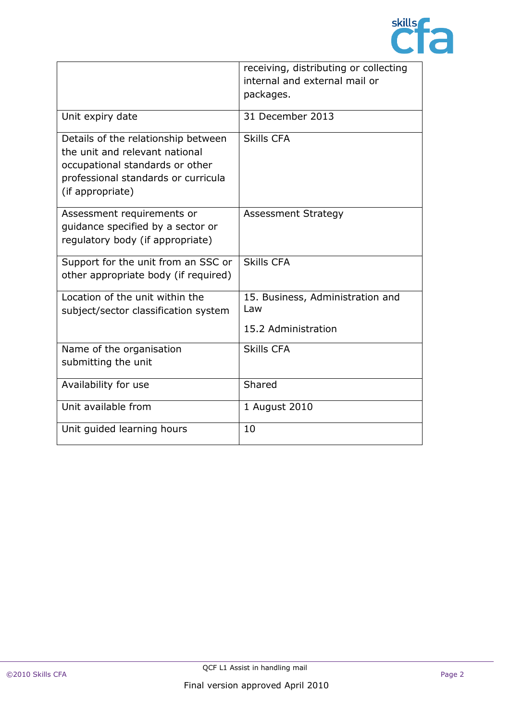

|                                                                                                                                                                     | receiving, distributing or collecting<br>internal and external mail or<br>packages. |
|---------------------------------------------------------------------------------------------------------------------------------------------------------------------|-------------------------------------------------------------------------------------|
| Unit expiry date                                                                                                                                                    | 31 December 2013                                                                    |
| Details of the relationship between<br>the unit and relevant national<br>occupational standards or other<br>professional standards or curricula<br>(if appropriate) | <b>Skills CFA</b>                                                                   |
| Assessment requirements or<br>quidance specified by a sector or<br>regulatory body (if appropriate)                                                                 | <b>Assessment Strategy</b>                                                          |
| Support for the unit from an SSC or<br>other appropriate body (if required)                                                                                         | <b>Skills CFA</b>                                                                   |
| Location of the unit within the<br>subject/sector classification system                                                                                             | 15. Business, Administration and<br>Law<br>15.2 Administration                      |
| Name of the organisation<br>submitting the unit                                                                                                                     | <b>Skills CFA</b>                                                                   |
| Availability for use                                                                                                                                                | Shared                                                                              |
| Unit available from                                                                                                                                                 | 1 August 2010                                                                       |
| Unit guided learning hours                                                                                                                                          | 10                                                                                  |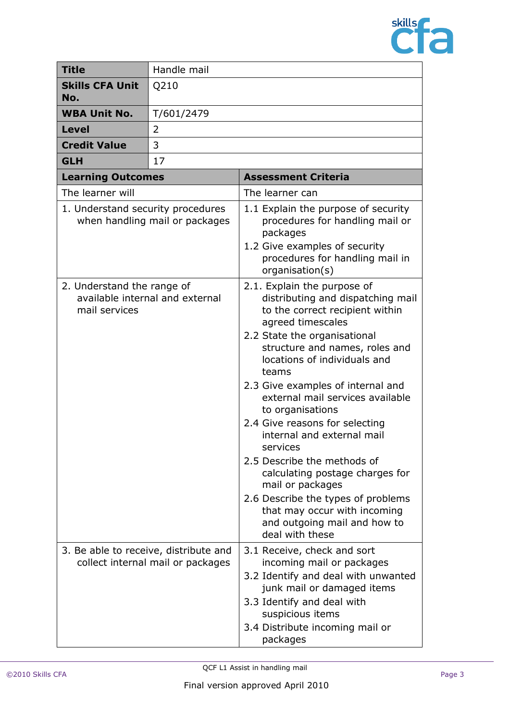

| <b>Title</b>                                                                   | Handle mail                       |                                                                                                                                                                                                                                                                                                                                                                                                                                                                                                                                                                                                                             |
|--------------------------------------------------------------------------------|-----------------------------------|-----------------------------------------------------------------------------------------------------------------------------------------------------------------------------------------------------------------------------------------------------------------------------------------------------------------------------------------------------------------------------------------------------------------------------------------------------------------------------------------------------------------------------------------------------------------------------------------------------------------------------|
| <b>Skills CFA Unit</b><br>No.                                                  | Q210                              |                                                                                                                                                                                                                                                                                                                                                                                                                                                                                                                                                                                                                             |
| <b>WBA Unit No.</b>                                                            | T/601/2479                        |                                                                                                                                                                                                                                                                                                                                                                                                                                                                                                                                                                                                                             |
| <b>Level</b>                                                                   | 2                                 |                                                                                                                                                                                                                                                                                                                                                                                                                                                                                                                                                                                                                             |
| <b>Credit Value</b>                                                            | 3                                 |                                                                                                                                                                                                                                                                                                                                                                                                                                                                                                                                                                                                                             |
| 17<br><b>GLH</b>                                                               |                                   |                                                                                                                                                                                                                                                                                                                                                                                                                                                                                                                                                                                                                             |
| <b>Learning Outcomes</b>                                                       |                                   | <b>Assessment Criteria</b>                                                                                                                                                                                                                                                                                                                                                                                                                                                                                                                                                                                                  |
| The learner will                                                               |                                   | The learner can                                                                                                                                                                                                                                                                                                                                                                                                                                                                                                                                                                                                             |
| 1. Understand security procedures<br>when handling mail or packages            |                                   | 1.1 Explain the purpose of security<br>procedures for handling mail or<br>packages<br>1.2 Give examples of security<br>procedures for handling mail in<br>organisation(s)                                                                                                                                                                                                                                                                                                                                                                                                                                                   |
| 2. Understand the range of<br>available internal and external<br>mail services |                                   | 2.1. Explain the purpose of<br>distributing and dispatching mail<br>to the correct recipient within<br>agreed timescales<br>2.2 State the organisational<br>structure and names, roles and<br>locations of individuals and<br>teams<br>2.3 Give examples of internal and<br>external mail services available<br>to organisations<br>2.4 Give reasons for selecting<br>internal and external mail<br>services<br>2.5 Describe the methods of<br>calculating postage charges for<br>mail or packages<br>2.6 Describe the types of problems<br>that may occur with incoming<br>and outgoing mail and how to<br>deal with these |
| 3. Be able to receive, distribute and                                          | collect internal mail or packages | 3.1 Receive, check and sort<br>incoming mail or packages<br>3.2 Identify and deal with unwanted<br>junk mail or damaged items<br>3.3 Identify and deal with<br>suspicious items<br>3.4 Distribute incoming mail or<br>packages                                                                                                                                                                                                                                                                                                                                                                                              |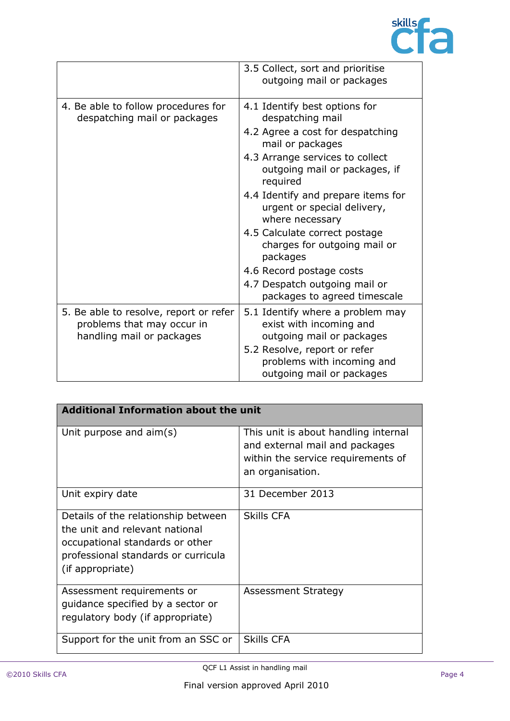

|                                                                                                   | 3.5 Collect, sort and prioritise<br>outgoing mail or packages                                                                                                                                                                                                                                                                                                                                                                                               |
|---------------------------------------------------------------------------------------------------|-------------------------------------------------------------------------------------------------------------------------------------------------------------------------------------------------------------------------------------------------------------------------------------------------------------------------------------------------------------------------------------------------------------------------------------------------------------|
| 4. Be able to follow procedures for<br>despatching mail or packages                               | 4.1 Identify best options for<br>despatching mail<br>4.2 Agree a cost for despatching<br>mail or packages<br>4.3 Arrange services to collect<br>outgoing mail or packages, if<br>required<br>4.4 Identify and prepare items for<br>urgent or special delivery,<br>where necessary<br>4.5 Calculate correct postage<br>charges for outgoing mail or<br>packages<br>4.6 Record postage costs<br>4.7 Despatch outgoing mail or<br>packages to agreed timescale |
| 5. Be able to resolve, report or refer<br>problems that may occur in<br>handling mail or packages | 5.1 Identify where a problem may<br>exist with incoming and<br>outgoing mail or packages<br>5.2 Resolve, report or refer<br>problems with incoming and<br>outgoing mail or packages                                                                                                                                                                                                                                                                         |

| <b>Additional Information about the unit</b>                                                                                                                        |                                                                                                                                  |  |
|---------------------------------------------------------------------------------------------------------------------------------------------------------------------|----------------------------------------------------------------------------------------------------------------------------------|--|
| Unit purpose and $aim(s)$                                                                                                                                           | This unit is about handling internal<br>and external mail and packages<br>within the service requirements of<br>an organisation. |  |
| Unit expiry date                                                                                                                                                    | 31 December 2013                                                                                                                 |  |
| Details of the relationship between<br>the unit and relevant national<br>occupational standards or other<br>professional standards or curricula<br>(if appropriate) | <b>Skills CFA</b>                                                                                                                |  |
| Assessment requirements or<br>quidance specified by a sector or<br>regulatory body (if appropriate)                                                                 | <b>Assessment Strategy</b>                                                                                                       |  |
| Support for the unit from an SSC or                                                                                                                                 | <b>Skills CFA</b>                                                                                                                |  |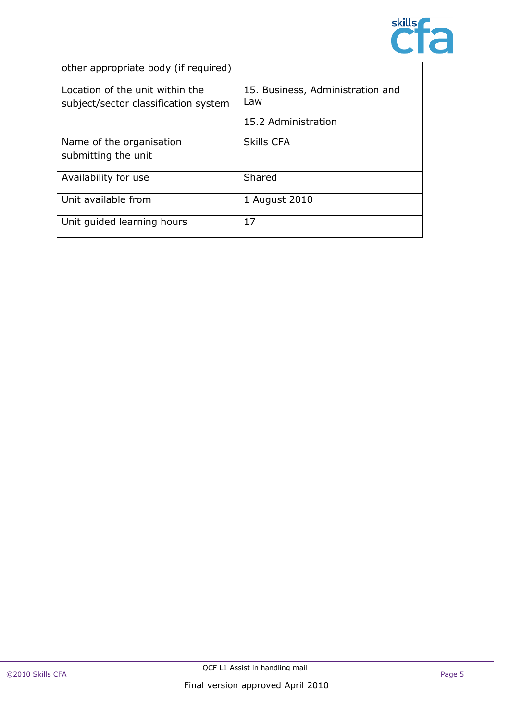

| other appropriate body (if required)                                    |                                         |
|-------------------------------------------------------------------------|-----------------------------------------|
| Location of the unit within the<br>subject/sector classification system | 15. Business, Administration and<br>Law |
|                                                                         | 15.2 Administration                     |
| Name of the organisation                                                | <b>Skills CFA</b>                       |
| submitting the unit                                                     |                                         |
| Availability for use                                                    | Shared                                  |
| Unit available from                                                     | 1 August 2010                           |
| Unit guided learning hours                                              | 17                                      |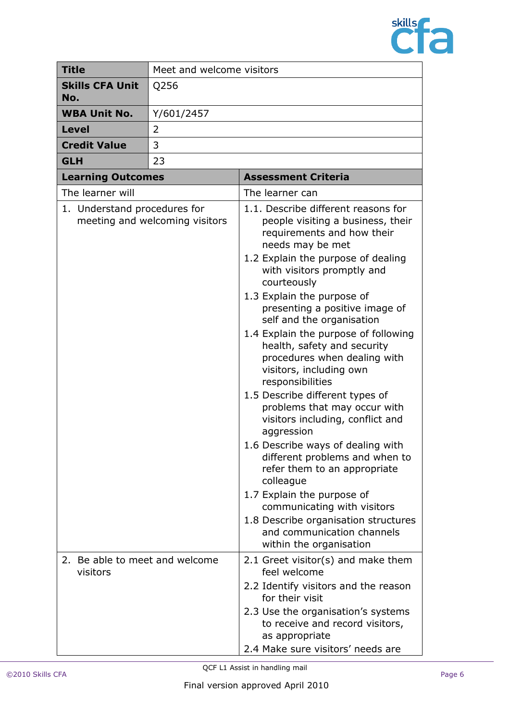

| <b>Title</b>                               | Meet and welcome visitors      |                                                                                                                                                                                                                                                                                                                                                                                                                                                                                                                                                                                                                                                                                                                                                                                                                                                                         |
|--------------------------------------------|--------------------------------|-------------------------------------------------------------------------------------------------------------------------------------------------------------------------------------------------------------------------------------------------------------------------------------------------------------------------------------------------------------------------------------------------------------------------------------------------------------------------------------------------------------------------------------------------------------------------------------------------------------------------------------------------------------------------------------------------------------------------------------------------------------------------------------------------------------------------------------------------------------------------|
| <b>Skills CFA Unit</b><br>No.              | Q256                           |                                                                                                                                                                                                                                                                                                                                                                                                                                                                                                                                                                                                                                                                                                                                                                                                                                                                         |
| <b>WBA Unit No.</b>                        | Y/601/2457                     |                                                                                                                                                                                                                                                                                                                                                                                                                                                                                                                                                                                                                                                                                                                                                                                                                                                                         |
| <b>Level</b>                               | 2                              |                                                                                                                                                                                                                                                                                                                                                                                                                                                                                                                                                                                                                                                                                                                                                                                                                                                                         |
| <b>Credit Value</b>                        | 3                              |                                                                                                                                                                                                                                                                                                                                                                                                                                                                                                                                                                                                                                                                                                                                                                                                                                                                         |
| <b>GLH</b>                                 | 23                             |                                                                                                                                                                                                                                                                                                                                                                                                                                                                                                                                                                                                                                                                                                                                                                                                                                                                         |
| <b>Learning Outcomes</b>                   |                                | <b>Assessment Criteria</b>                                                                                                                                                                                                                                                                                                                                                                                                                                                                                                                                                                                                                                                                                                                                                                                                                                              |
| The learner will                           |                                | The learner can                                                                                                                                                                                                                                                                                                                                                                                                                                                                                                                                                                                                                                                                                                                                                                                                                                                         |
| 1. Understand procedures for               | meeting and welcoming visitors | 1.1. Describe different reasons for<br>people visiting a business, their<br>requirements and how their<br>needs may be met<br>1.2 Explain the purpose of dealing<br>with visitors promptly and<br>courteously<br>1.3 Explain the purpose of<br>presenting a positive image of<br>self and the organisation<br>1.4 Explain the purpose of following<br>health, safety and security<br>procedures when dealing with<br>visitors, including own<br>responsibilities<br>1.5 Describe different types of<br>problems that may occur with<br>visitors including, conflict and<br>aggression<br>1.6 Describe ways of dealing with<br>different problems and when to<br>refer them to an appropriate<br>colleague<br>1.7 Explain the purpose of<br>communicating with visitors<br>1.8 Describe organisation structures<br>and communication channels<br>within the organisation |
| 2. Be able to meet and welcome<br>visitors |                                | 2.1 Greet visitor(s) and make them<br>feel welcome<br>2.2 Identify visitors and the reason<br>for their visit<br>2.3 Use the organisation's systems<br>to receive and record visitors,<br>as appropriate<br>2.4 Make sure visitors' needs are                                                                                                                                                                                                                                                                                                                                                                                                                                                                                                                                                                                                                           |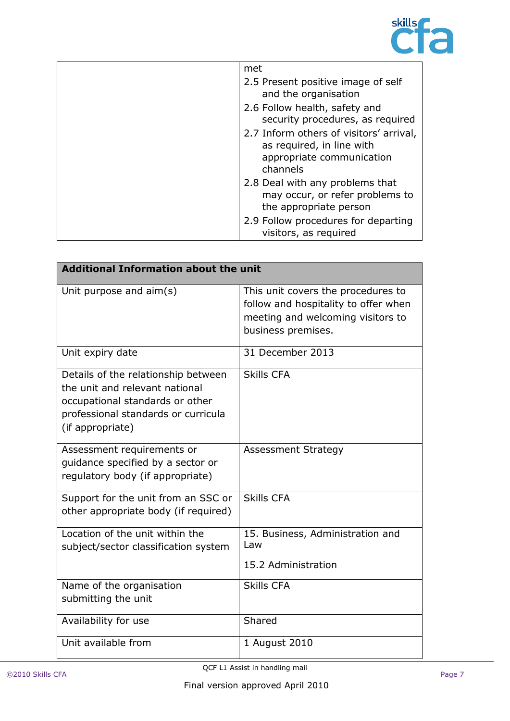

| met                                                                                                           |
|---------------------------------------------------------------------------------------------------------------|
| 2.5 Present positive image of self<br>and the organisation                                                    |
| 2.6 Follow health, safety and<br>security procedures, as required                                             |
| 2.7 Inform others of visitors' arrival,<br>as required, in line with<br>appropriate communication<br>channels |
| 2.8 Deal with any problems that<br>may occur, or refer problems to<br>the appropriate person                  |
| 2.9 Follow procedures for departing<br>visitors, as required                                                  |

| <b>Additional Information about the unit</b>                                                                                                                        |                                                                                                                                       |  |
|---------------------------------------------------------------------------------------------------------------------------------------------------------------------|---------------------------------------------------------------------------------------------------------------------------------------|--|
| Unit purpose and aim(s)                                                                                                                                             | This unit covers the procedures to<br>follow and hospitality to offer when<br>meeting and welcoming visitors to<br>business premises. |  |
| Unit expiry date                                                                                                                                                    | 31 December 2013                                                                                                                      |  |
| Details of the relationship between<br>the unit and relevant national<br>occupational standards or other<br>professional standards or curricula<br>(if appropriate) | <b>Skills CFA</b>                                                                                                                     |  |
| Assessment requirements or<br>guidance specified by a sector or<br>regulatory body (if appropriate)                                                                 | <b>Assessment Strategy</b>                                                                                                            |  |
| Support for the unit from an SSC or<br>other appropriate body (if required)                                                                                         | <b>Skills CFA</b>                                                                                                                     |  |
| Location of the unit within the<br>subject/sector classification system                                                                                             | 15. Business, Administration and<br>Law<br>15.2 Administration                                                                        |  |
| Name of the organisation<br>submitting the unit                                                                                                                     | <b>Skills CFA</b>                                                                                                                     |  |
| Availability for use                                                                                                                                                | Shared                                                                                                                                |  |
| Unit available from                                                                                                                                                 | 1 August 2010                                                                                                                         |  |

QCF L1 Assist in handling mail COLLASSIST IN NATIONAL TIME IN THE RESEARCH OF THE RESEARCH OF THE RESEARCH OF THE RESEARCH OF THE PAGE 7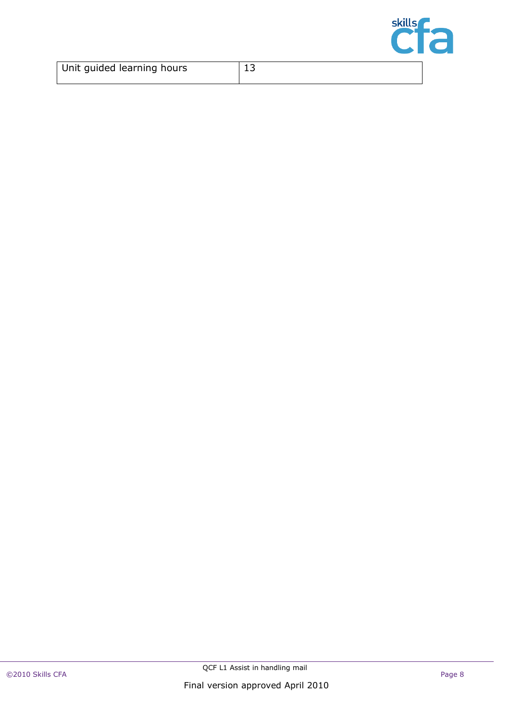

| Unit guided learning hours | -- |  |
|----------------------------|----|--|
|                            |    |  |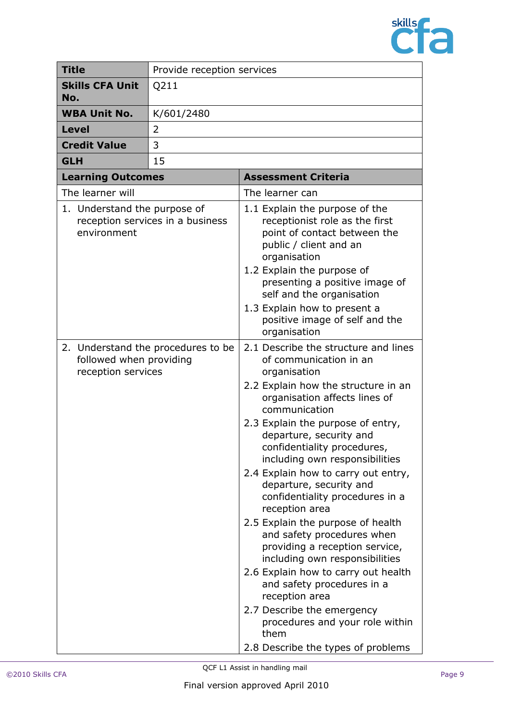

| <b>Title</b>                                                                        | Provide reception services |                                                                                                                                                                                                                                                                                                                                                                                                                                                                                                                                                                                                                                                                                                                                                                              |
|-------------------------------------------------------------------------------------|----------------------------|------------------------------------------------------------------------------------------------------------------------------------------------------------------------------------------------------------------------------------------------------------------------------------------------------------------------------------------------------------------------------------------------------------------------------------------------------------------------------------------------------------------------------------------------------------------------------------------------------------------------------------------------------------------------------------------------------------------------------------------------------------------------------|
| <b>Skills CFA Unit</b><br>No.                                                       | Q211                       |                                                                                                                                                                                                                                                                                                                                                                                                                                                                                                                                                                                                                                                                                                                                                                              |
| <b>WBA Unit No.</b>                                                                 | K/601/2480                 |                                                                                                                                                                                                                                                                                                                                                                                                                                                                                                                                                                                                                                                                                                                                                                              |
| <b>Level</b>                                                                        | 2                          |                                                                                                                                                                                                                                                                                                                                                                                                                                                                                                                                                                                                                                                                                                                                                                              |
| <b>Credit Value</b>                                                                 | 3                          |                                                                                                                                                                                                                                                                                                                                                                                                                                                                                                                                                                                                                                                                                                                                                                              |
| <b>GLH</b>                                                                          | 15                         |                                                                                                                                                                                                                                                                                                                                                                                                                                                                                                                                                                                                                                                                                                                                                                              |
| <b>Learning Outcomes</b>                                                            |                            | <b>Assessment Criteria</b>                                                                                                                                                                                                                                                                                                                                                                                                                                                                                                                                                                                                                                                                                                                                                   |
| The learner will                                                                    |                            | The learner can                                                                                                                                                                                                                                                                                                                                                                                                                                                                                                                                                                                                                                                                                                                                                              |
| 1. Understand the purpose of<br>reception services in a business<br>environment     |                            | 1.1 Explain the purpose of the<br>receptionist role as the first<br>point of contact between the<br>public / client and an<br>organisation<br>1.2 Explain the purpose of<br>presenting a positive image of<br>self and the organisation<br>1.3 Explain how to present a<br>positive image of self and the<br>organisation                                                                                                                                                                                                                                                                                                                                                                                                                                                    |
| 2. Understand the procedures to be<br>followed when providing<br>reception services |                            | 2.1 Describe the structure and lines<br>of communication in an<br>organisation<br>2.2 Explain how the structure in an<br>organisation affects lines of<br>communication<br>2.3 Explain the purpose of entry,<br>departure, security and<br>confidentiality procedures,<br>including own responsibilities<br>2.4 Explain how to carry out entry,<br>departure, security and<br>confidentiality procedures in a<br>reception area<br>2.5 Explain the purpose of health<br>and safety procedures when<br>providing a reception service,<br>including own responsibilities<br>2.6 Explain how to carry out health<br>and safety procedures in a<br>reception area<br>2.7 Describe the emergency<br>procedures and your role within<br>them<br>2.8 Describe the types of problems |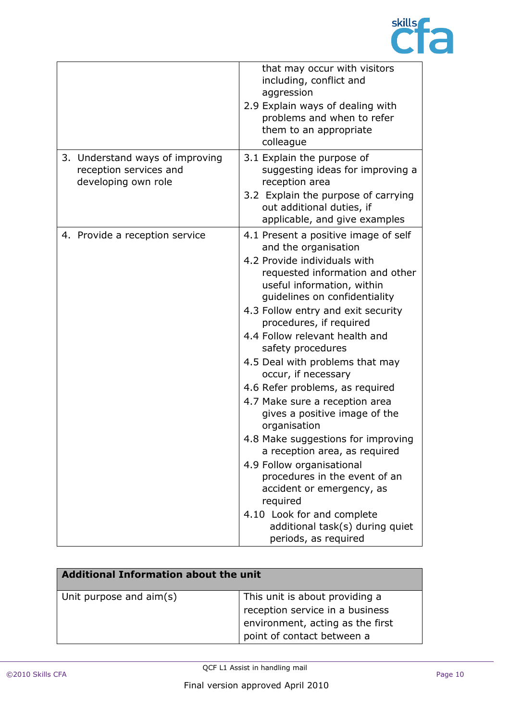

|                                                                                  | that may occur with visitors<br>including, conflict and<br>aggression<br>2.9 Explain ways of dealing with<br>problems and when to refer<br>them to an appropriate<br>colleague                                                                                                                                                                                                                                                                                                                                                                                                                                                                                                                                                                                                |
|----------------------------------------------------------------------------------|-------------------------------------------------------------------------------------------------------------------------------------------------------------------------------------------------------------------------------------------------------------------------------------------------------------------------------------------------------------------------------------------------------------------------------------------------------------------------------------------------------------------------------------------------------------------------------------------------------------------------------------------------------------------------------------------------------------------------------------------------------------------------------|
| 3. Understand ways of improving<br>reception services and<br>developing own role | 3.1 Explain the purpose of<br>suggesting ideas for improving a<br>reception area<br>3.2 Explain the purpose of carrying<br>out additional duties, if<br>applicable, and give examples                                                                                                                                                                                                                                                                                                                                                                                                                                                                                                                                                                                         |
| 4. Provide a reception service                                                   | 4.1 Present a positive image of self<br>and the organisation<br>4.2 Provide individuals with<br>requested information and other<br>useful information, within<br>guidelines on confidentiality<br>4.3 Follow entry and exit security<br>procedures, if required<br>4.4 Follow relevant health and<br>safety procedures<br>4.5 Deal with problems that may<br>occur, if necessary<br>4.6 Refer problems, as required<br>4.7 Make sure a reception area<br>gives a positive image of the<br>organisation<br>4.8 Make suggestions for improving<br>a reception area, as required<br>4.9 Follow organisational<br>procedures in the event of an<br>accident or emergency, as<br>required<br>4.10 Look for and complete<br>additional task(s) during quiet<br>periods, as required |

| <b>Additional Information about the unit</b> |                                                                                                                                     |
|----------------------------------------------|-------------------------------------------------------------------------------------------------------------------------------------|
| Unit purpose and aim(s)                      | This unit is about providing a<br>reception service in a business<br>environment, acting as the first<br>point of contact between a |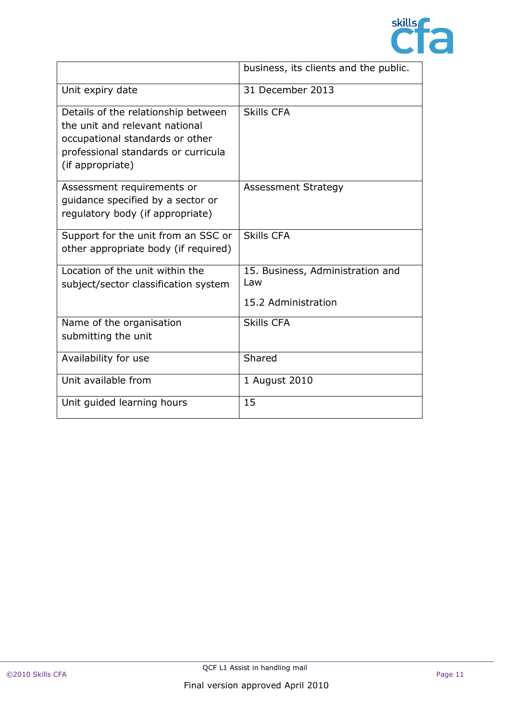

|                                                                                                                                                                     | business, its clients and the public.                          |
|---------------------------------------------------------------------------------------------------------------------------------------------------------------------|----------------------------------------------------------------|
| Unit expiry date                                                                                                                                                    | 31 December 2013                                               |
| Details of the relationship between<br>the unit and relevant national<br>occupational standards or other<br>professional standards or curricula<br>(if appropriate) | <b>Skills CFA</b>                                              |
| Assessment requirements or<br>quidance specified by a sector or<br>regulatory body (if appropriate)                                                                 | <b>Assessment Strategy</b>                                     |
| Support for the unit from an SSC or<br>other appropriate body (if required)                                                                                         | <b>Skills CFA</b>                                              |
| Location of the unit within the<br>subject/sector classification system                                                                                             | 15. Business, Administration and<br>Law<br>15.2 Administration |
| Name of the organisation<br>submitting the unit                                                                                                                     | <b>Skills CFA</b>                                              |
| Availability for use                                                                                                                                                | Shared                                                         |
| Unit available from                                                                                                                                                 | 1 August 2010                                                  |
| Unit guided learning hours                                                                                                                                          | 15                                                             |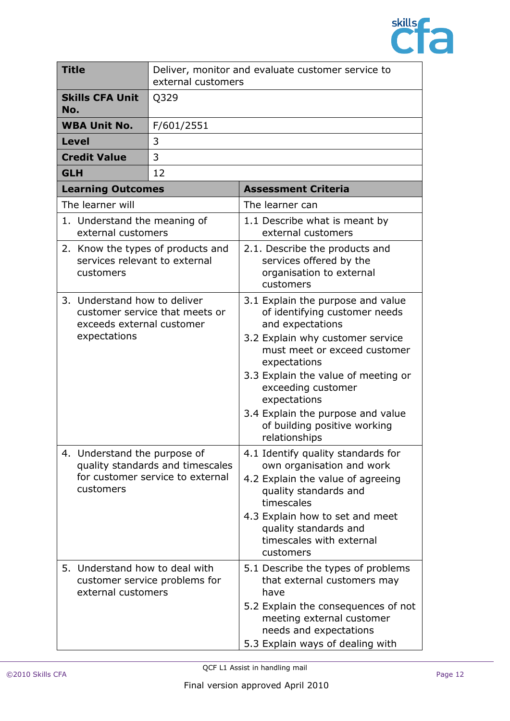

| <b>Title</b>                                                                    |                                                                           | Deliver, monitor and evaluate customer service to<br>external customers |                                                                                                                                                                                                                                                                                                                                               |
|---------------------------------------------------------------------------------|---------------------------------------------------------------------------|-------------------------------------------------------------------------|-----------------------------------------------------------------------------------------------------------------------------------------------------------------------------------------------------------------------------------------------------------------------------------------------------------------------------------------------|
| No.                                                                             | <b>Skills CFA Unit</b>                                                    | Q329                                                                    |                                                                                                                                                                                                                                                                                                                                               |
|                                                                                 | <b>WBA Unit No.</b>                                                       | F/601/2551                                                              |                                                                                                                                                                                                                                                                                                                                               |
|                                                                                 | <b>Level</b>                                                              | 3                                                                       |                                                                                                                                                                                                                                                                                                                                               |
|                                                                                 | <b>Credit Value</b>                                                       | 3                                                                       |                                                                                                                                                                                                                                                                                                                                               |
| <b>GLH</b>                                                                      |                                                                           | 12                                                                      |                                                                                                                                                                                                                                                                                                                                               |
|                                                                                 | <b>Learning Outcomes</b>                                                  |                                                                         | <b>Assessment Criteria</b>                                                                                                                                                                                                                                                                                                                    |
|                                                                                 | The learner will                                                          |                                                                         | The learner can                                                                                                                                                                                                                                                                                                                               |
|                                                                                 | 1. Understand the meaning of<br>external customers                        |                                                                         | 1.1 Describe what is meant by<br>external customers                                                                                                                                                                                                                                                                                           |
| 2. Know the types of products and<br>services relevant to external<br>customers |                                                                           |                                                                         | 2.1. Describe the products and<br>services offered by the<br>organisation to external<br>customers                                                                                                                                                                                                                                            |
|                                                                                 | 3. Understand how to deliver<br>exceeds external customer<br>expectations | customer service that meets or                                          | 3.1 Explain the purpose and value<br>of identifying customer needs<br>and expectations<br>3.2 Explain why customer service<br>must meet or exceed customer<br>expectations<br>3.3 Explain the value of meeting or<br>exceeding customer<br>expectations<br>3.4 Explain the purpose and value<br>of building positive working<br>relationships |
|                                                                                 | 4. Understand the purpose of<br>customers                                 | quality standards and timescales<br>for customer service to external    | 4.1 Identify quality standards for<br>own organisation and work<br>4.2 Explain the value of agreeing<br>quality standards and<br>timescales<br>4.3 Explain how to set and meet<br>quality standards and<br>timescales with external<br>customers                                                                                              |
|                                                                                 | 5. Understand how to deal with<br>external customers                      | customer service problems for                                           | 5.1 Describe the types of problems<br>that external customers may<br>have<br>5.2 Explain the consequences of not<br>meeting external customer<br>needs and expectations<br>5.3 Explain ways of dealing with                                                                                                                                   |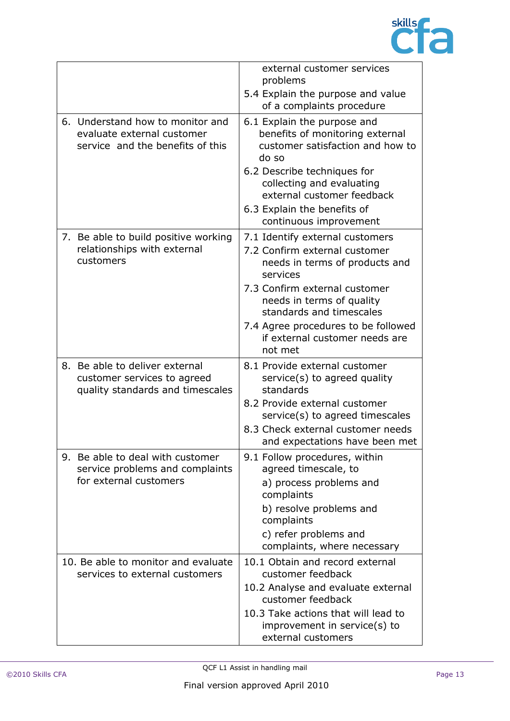

|                                                                       |                                                                                                    | external customer services<br>problems<br>5.4 Explain the purpose and value<br>of a complaints procedure              |
|-----------------------------------------------------------------------|----------------------------------------------------------------------------------------------------|-----------------------------------------------------------------------------------------------------------------------|
|                                                                       | 6. Understand how to monitor and<br>evaluate external customer<br>service and the benefits of this | 6.1 Explain the purpose and<br>benefits of monitoring external<br>customer satisfaction and how to<br>do so           |
|                                                                       |                                                                                                    | 6.2 Describe techniques for<br>collecting and evaluating<br>external customer feedback<br>6.3 Explain the benefits of |
|                                                                       |                                                                                                    | continuous improvement                                                                                                |
|                                                                       | 7. Be able to build positive working<br>relationships with external<br>customers                   | 7.1 Identify external customers<br>7.2 Confirm external customer<br>needs in terms of products and<br>services        |
|                                                                       |                                                                                                    | 7.3 Confirm external customer<br>needs in terms of quality<br>standards and timescales                                |
|                                                                       |                                                                                                    | 7.4 Agree procedures to be followed<br>if external customer needs are<br>not met                                      |
|                                                                       | 8. Be able to deliver external<br>customer services to agreed<br>quality standards and timescales  | 8.1 Provide external customer<br>service(s) to agreed quality<br>standards                                            |
|                                                                       |                                                                                                    | 8.2 Provide external customer<br>service(s) to agreed timescales                                                      |
|                                                                       |                                                                                                    | 8.3 Check external customer needs<br>and expectations have been met                                                   |
|                                                                       | 9. Be able to deal with customer<br>service problems and complaints                                | 9.1 Follow procedures, within<br>agreed timescale, to                                                                 |
|                                                                       | for external customers                                                                             | a) process problems and<br>complaints                                                                                 |
|                                                                       |                                                                                                    | b) resolve problems and<br>complaints                                                                                 |
|                                                                       |                                                                                                    | c) refer problems and<br>complaints, where necessary                                                                  |
| 10. Be able to monitor and evaluate<br>services to external customers |                                                                                                    | 10.1 Obtain and record external<br>customer feedback                                                                  |
|                                                                       |                                                                                                    | 10.2 Analyse and evaluate external<br>customer feedback                                                               |
|                                                                       |                                                                                                    | 10.3 Take actions that will lead to<br>improvement in service(s) to<br>external customers                             |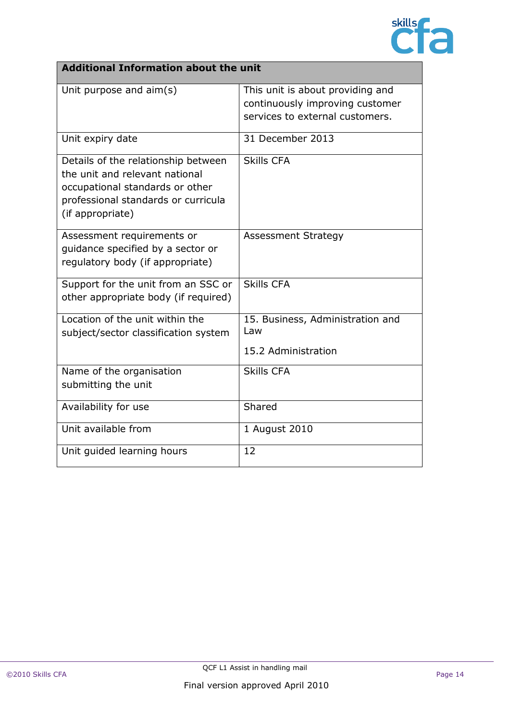

## **Additional Information about the unit**

| Unit purpose and aim(s)                                                                                                                                             | This unit is about providing and<br>continuously improving customer<br>services to external customers. |
|---------------------------------------------------------------------------------------------------------------------------------------------------------------------|--------------------------------------------------------------------------------------------------------|
| Unit expiry date                                                                                                                                                    | 31 December 2013                                                                                       |
| Details of the relationship between<br>the unit and relevant national<br>occupational standards or other<br>professional standards or curricula<br>(if appropriate) | <b>Skills CFA</b>                                                                                      |
| Assessment requirements or<br>quidance specified by a sector or<br>regulatory body (if appropriate)                                                                 | <b>Assessment Strategy</b>                                                                             |
| Support for the unit from an SSC or<br>other appropriate body (if required)                                                                                         | <b>Skills CFA</b>                                                                                      |
| Location of the unit within the<br>subject/sector classification system                                                                                             | 15. Business, Administration and<br>Law                                                                |
|                                                                                                                                                                     | 15.2 Administration                                                                                    |
| Name of the organisation<br>submitting the unit                                                                                                                     | <b>Skills CFA</b>                                                                                      |
| Availability for use                                                                                                                                                | Shared                                                                                                 |
| Unit available from                                                                                                                                                 | 1 August 2010                                                                                          |
| Unit guided learning hours                                                                                                                                          | 12                                                                                                     |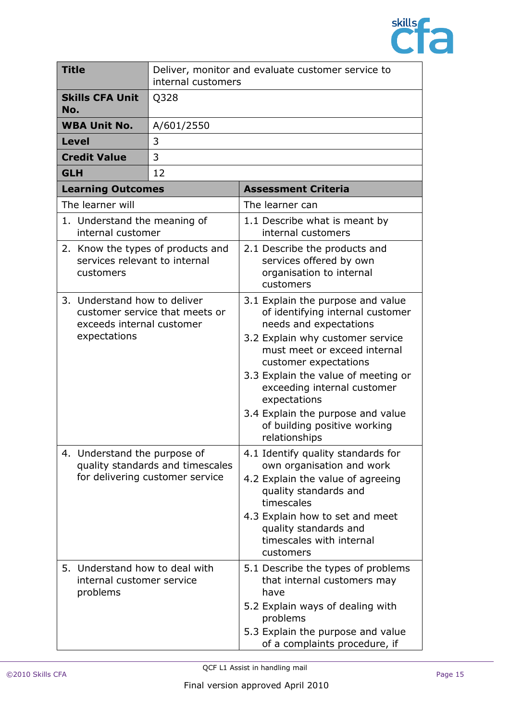

|            | <b>Title</b>                                                                    | Deliver, monitor and evaluate customer service to<br>internal customers |                                                                                                                                                                                                                                                                                                                                                                          |
|------------|---------------------------------------------------------------------------------|-------------------------------------------------------------------------|--------------------------------------------------------------------------------------------------------------------------------------------------------------------------------------------------------------------------------------------------------------------------------------------------------------------------------------------------------------------------|
| No.        | <b>Skills CFA Unit</b>                                                          | Q328                                                                    |                                                                                                                                                                                                                                                                                                                                                                          |
|            | <b>WBA Unit No.</b>                                                             | A/601/2550                                                              |                                                                                                                                                                                                                                                                                                                                                                          |
|            | <b>Level</b>                                                                    | 3                                                                       |                                                                                                                                                                                                                                                                                                                                                                          |
|            | <b>Credit Value</b>                                                             | 3                                                                       |                                                                                                                                                                                                                                                                                                                                                                          |
| <b>GLH</b> |                                                                                 | 12                                                                      |                                                                                                                                                                                                                                                                                                                                                                          |
|            | <b>Learning Outcomes</b>                                                        |                                                                         | <b>Assessment Criteria</b>                                                                                                                                                                                                                                                                                                                                               |
|            | The learner will                                                                |                                                                         | The learner can                                                                                                                                                                                                                                                                                                                                                          |
|            | 1. Understand the meaning of<br>internal customer                               |                                                                         | 1.1 Describe what is meant by<br>internal customers                                                                                                                                                                                                                                                                                                                      |
|            | 2. Know the types of products and<br>services relevant to internal<br>customers |                                                                         | 2.1 Describe the products and<br>services offered by own<br>organisation to internal<br>customers                                                                                                                                                                                                                                                                        |
|            | 3. Understand how to deliver<br>exceeds internal customer<br>expectations       | customer service that meets or                                          | 3.1 Explain the purpose and value<br>of identifying internal customer<br>needs and expectations<br>3.2 Explain why customer service<br>must meet or exceed internal<br>customer expectations<br>3.3 Explain the value of meeting or<br>exceeding internal customer<br>expectations<br>3.4 Explain the purpose and value<br>of building positive working<br>relationships |
|            | 4. Understand the purpose of                                                    | quality standards and timescales<br>for delivering customer service     | 4.1 Identify quality standards for<br>own organisation and work<br>4.2 Explain the value of agreeing<br>quality standards and<br>timescales<br>4.3 Explain how to set and meet<br>quality standards and<br>timescales with internal<br>customers                                                                                                                         |
|            | 5. Understand how to deal with<br>internal customer service<br>problems         |                                                                         | 5.1 Describe the types of problems<br>that internal customers may<br>have<br>5.2 Explain ways of dealing with<br>problems<br>5.3 Explain the purpose and value<br>of a complaints procedure, if                                                                                                                                                                          |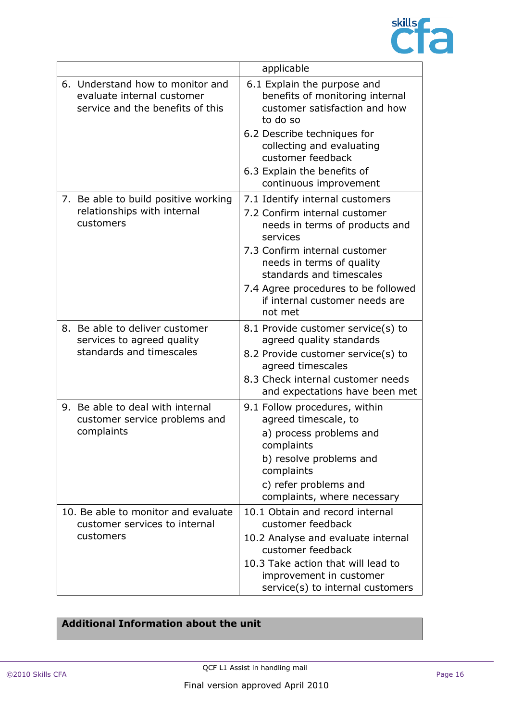

|                                                                                                    | applicable                                                                                                                                                                                                                                                                                   |
|----------------------------------------------------------------------------------------------------|----------------------------------------------------------------------------------------------------------------------------------------------------------------------------------------------------------------------------------------------------------------------------------------------|
| 6. Understand how to monitor and<br>evaluate internal customer<br>service and the benefits of this | 6.1 Explain the purpose and<br>benefits of monitoring internal<br>customer satisfaction and how<br>to do so<br>6.2 Describe techniques for<br>collecting and evaluating<br>customer feedback<br>6.3 Explain the benefits of<br>continuous improvement                                        |
| 7. Be able to build positive working<br>relationships with internal<br>customers                   | 7.1 Identify internal customers<br>7.2 Confirm internal customer<br>needs in terms of products and<br>services<br>7.3 Confirm internal customer<br>needs in terms of quality<br>standards and timescales<br>7.4 Agree procedures to be followed<br>if internal customer needs are<br>not met |
| 8. Be able to deliver customer<br>services to agreed quality<br>standards and timescales           | 8.1 Provide customer service(s) to<br>agreed quality standards<br>8.2 Provide customer service(s) to<br>agreed timescales<br>8.3 Check internal customer needs<br>and expectations have been met                                                                                             |
| 9. Be able to deal with internal<br>customer service problems and<br>complaints                    | 9.1 Follow procedures, within<br>agreed timescale, to<br>a) process problems and<br>complaints<br>b) resolve problems and<br>complaints<br>c) refer problems and<br>complaints, where necessary                                                                                              |
| 10. Be able to monitor and evaluate<br>customer services to internal<br>customers                  | 10.1 Obtain and record internal<br>customer feedback<br>10.2 Analyse and evaluate internal<br>customer feedback<br>10.3 Take action that will lead to<br>improvement in customer<br>service(s) to internal customers                                                                         |

## **Additional Information about the unit**